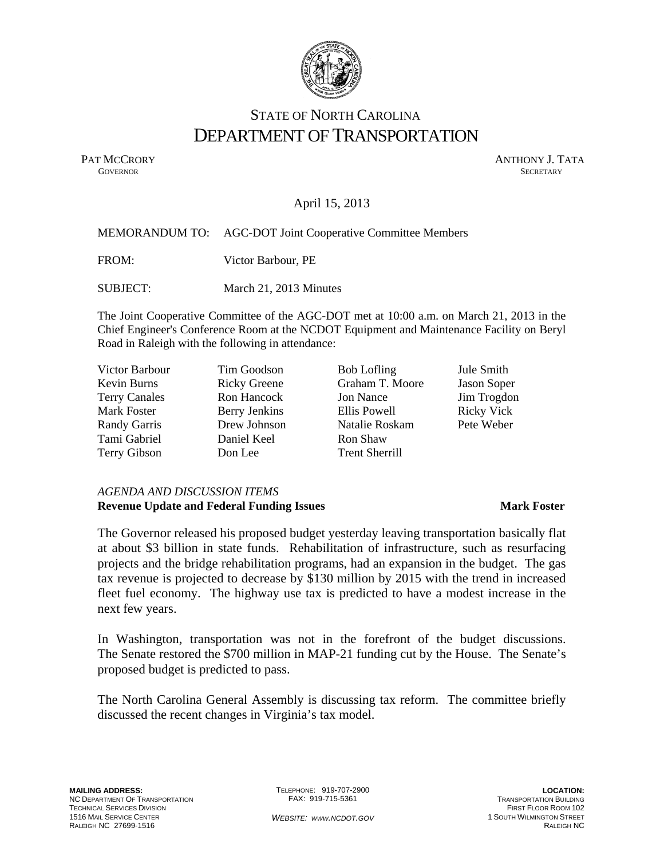

# STATE OF NORTH CAROLINA DEPARTMENT OF TRANSPORTATION

PAT MCCRORY ANTHONY J. TATA **GOVERNOR** SECRETARY

# April 15, 2013

# MEMORANDUM TO: AGC-DOT Joint Cooperative Committee Members

FROM: Victor Barbour, PE

SUBJECT: March 21, 2013 Minutes

The Joint Cooperative Committee of the AGC-DOT met at 10:00 a.m. on March 21, 2013 in the Chief Engineer's Conference Room at the NCDOT Equipment and Maintenance Facility on Beryl Road in Raleigh with the following in attendance:

| Victor Barbour       | Tim Goodson         | <b>Bob Lofling</b>    | Jule Smith        |
|----------------------|---------------------|-----------------------|-------------------|
| Kevin Burns          | <b>Ricky Greene</b> | Graham T. Moore       | Jason Soper       |
| <b>Terry Canales</b> | Ron Hancock         | <b>Jon Nance</b>      | Jim Trogdon       |
| Mark Foster          | Berry Jenkins       | Ellis Powell          | <b>Ricky Vick</b> |
| Randy Garris         | Drew Johnson        | Natalie Roskam        | Pete Weber        |
| Tami Gabriel         | Daniel Keel         | Ron Shaw              |                   |
| Terry Gibson         | Don Lee             | <b>Trent Sherrill</b> |                   |

# *AGENDA AND DISCUSSION ITEMS*  **Revenue Update and Federal Funding Issues Mark Foster Mark Foster**

The Governor released his proposed budget yesterday leaving transportation basically flat at about \$3 billion in state funds. Rehabilitation of infrastructure, such as resurfacing projects and the bridge rehabilitation programs, had an expansion in the budget. The gas tax revenue is projected to decrease by \$130 million by 2015 with the trend in increased fleet fuel economy. The highway use tax is predicted to have a modest increase in the next few years.

In Washington, transportation was not in the forefront of the budget discussions. The Senate restored the \$700 million in MAP-21 funding cut by the House. The Senate's proposed budget is predicted to pass.

The North Carolina General Assembly is discussing tax reform. The committee briefly discussed the recent changes in Virginia's tax model.

TELEPHONE: 919-707-2900 FAX: 919-715-5361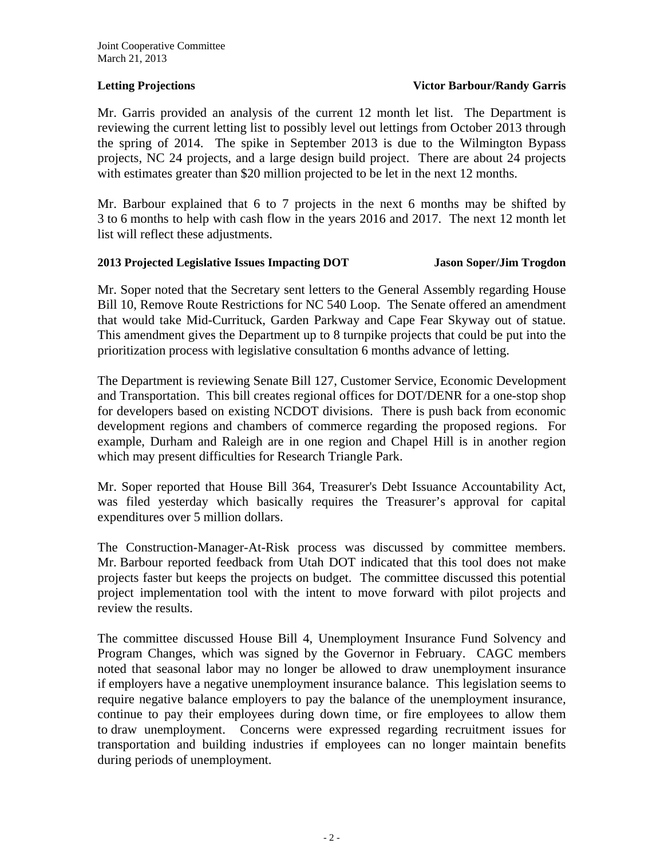# **Letting Projections State Constraints Action Projections State Projections State Projections**

Mr. Garris provided an analysis of the current 12 month let list. The Department is reviewing the current letting list to possibly level out lettings from October 2013 through the spring of 2014. The spike in September 2013 is due to the Wilmington Bypass projects, NC 24 projects, and a large design build project. There are about 24 projects with estimates greater than \$20 million projected to be let in the next 12 months.

Mr. Barbour explained that 6 to 7 projects in the next 6 months may be shifted by 3 to 6 months to help with cash flow in the years 2016 and 2017. The next 12 month let list will reflect these adjustments.

# **2013 Projected Legislative Issues Impacting DOT Jason Soper/Jim Trogdon**

Mr. Soper noted that the Secretary sent letters to the General Assembly regarding House Bill 10, Remove Route Restrictions for NC 540 Loop. The Senate offered an amendment that would take Mid-Currituck, Garden Parkway and Cape Fear Skyway out of statue. This amendment gives the Department up to 8 turnpike projects that could be put into the prioritization process with legislative consultation 6 months advance of letting.

The Department is reviewing Senate Bill 127, Customer Service, Economic Development and Transportation. This bill creates regional offices for DOT/DENR for a one-stop shop for developers based on existing NCDOT divisions. There is push back from economic development regions and chambers of commerce regarding the proposed regions. For example, Durham and Raleigh are in one region and Chapel Hill is in another region which may present difficulties for Research Triangle Park.

Mr. Soper reported that House Bill 364, Treasurer's Debt Issuance Accountability Act, was filed yesterday which basically requires the Treasurer's approval for capital expenditures over 5 million dollars.

The Construction-Manager-At-Risk process was discussed by committee members. Mr. Barbour reported feedback from Utah DOT indicated that this tool does not make projects faster but keeps the projects on budget. The committee discussed this potential project implementation tool with the intent to move forward with pilot projects and review the results.

The committee discussed House Bill 4, Unemployment Insurance Fund Solvency and Program Changes, which was signed by the Governor in February. CAGC members noted that seasonal labor may no longer be allowed to draw unemployment insurance if employers have a negative unemployment insurance balance. This legislation seems to require negative balance employers to pay the balance of the unemployment insurance, continue to pay their employees during down time, or fire employees to allow them to draw unemployment. Concerns were expressed regarding recruitment issues for transportation and building industries if employees can no longer maintain benefits during periods of unemployment.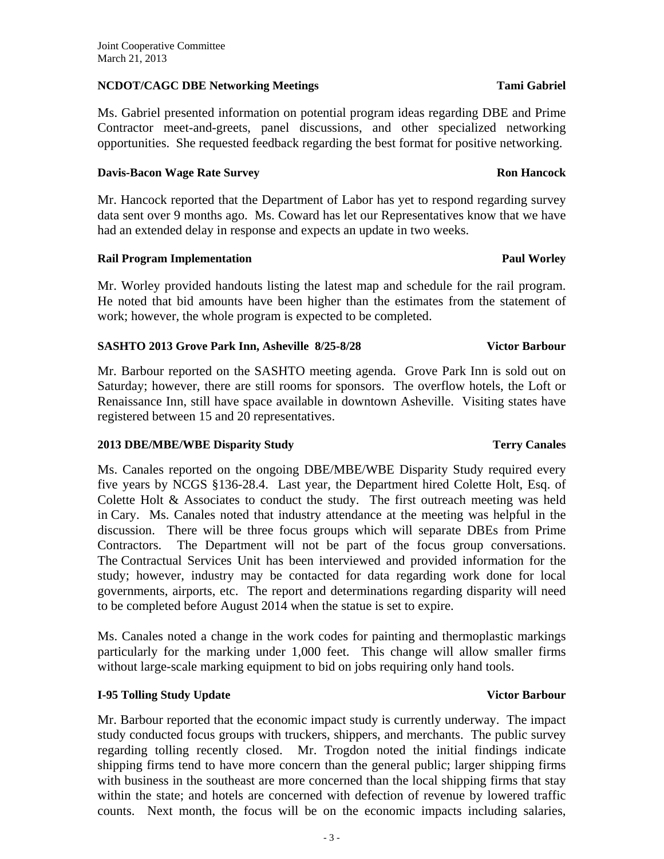# **NCDOT/CAGC DBE Networking Meetings Tami Gabriel Tami Gabriel**

Ms. Gabriel presented information on potential program ideas regarding DBE and Prime Contractor meet-and-greets, panel discussions, and other specialized networking opportunities. She requested feedback regarding the best format for positive networking.

# **Davis-Bacon Wage Rate Survey Ron Hancock**

Mr. Hancock reported that the Department of Labor has yet to respond regarding survey data sent over 9 months ago. Ms. Coward has let our Representatives know that we have had an extended delay in response and expects an update in two weeks.

# **Rail Program Implementation According to the Contract of Paul Worley**

Mr. Worley provided handouts listing the latest map and schedule for the rail program. He noted that bid amounts have been higher than the estimates from the statement of work; however, the whole program is expected to be completed.

# SASHTO 2013 Grove Park Inn, Asheville 8/25-8/28 Victor Barbour

Mr. Barbour reported on the SASHTO meeting agenda. Grove Park Inn is sold out on Saturday; however, there are still rooms for sponsors. The overflow hotels, the Loft or Renaissance Inn, still have space available in downtown Asheville. Visiting states have registered between 15 and 20 representatives.

# **2013 DBE/MBE/WBE Disparity Study Terry Canales**

Ms. Canales reported on the ongoing DBE/MBE/WBE Disparity Study required every five years by NCGS §136-28.4. Last year, the Department hired Colette Holt, Esq. of Colette Holt & Associates to conduct the study. The first outreach meeting was held in Cary. Ms. Canales noted that industry attendance at the meeting was helpful in the discussion. There will be three focus groups which will separate DBEs from Prime Contractors. The Department will not be part of the focus group conversations. The Contractual Services Unit has been interviewed and provided information for the study; however, industry may be contacted for data regarding work done for local governments, airports, etc. The report and determinations regarding disparity will need to be completed before August 2014 when the statue is set to expire.

Ms. Canales noted a change in the work codes for painting and thermoplastic markings particularly for the marking under 1,000 feet. This change will allow smaller firms without large-scale marking equipment to bid on jobs requiring only hand tools.

# **I-95 Tolling Study Update Community Community Community Community Community Community Community Community Community Community Community Community Community Community Community Community Community Community Community Commu**

Mr. Barbour reported that the economic impact study is currently underway. The impact study conducted focus groups with truckers, shippers, and merchants. The public survey regarding tolling recently closed. Mr. Trogdon noted the initial findings indicate shipping firms tend to have more concern than the general public; larger shipping firms with business in the southeast are more concerned than the local shipping firms that stay within the state; and hotels are concerned with defection of revenue by lowered traffic counts. Next month, the focus will be on the economic impacts including salaries,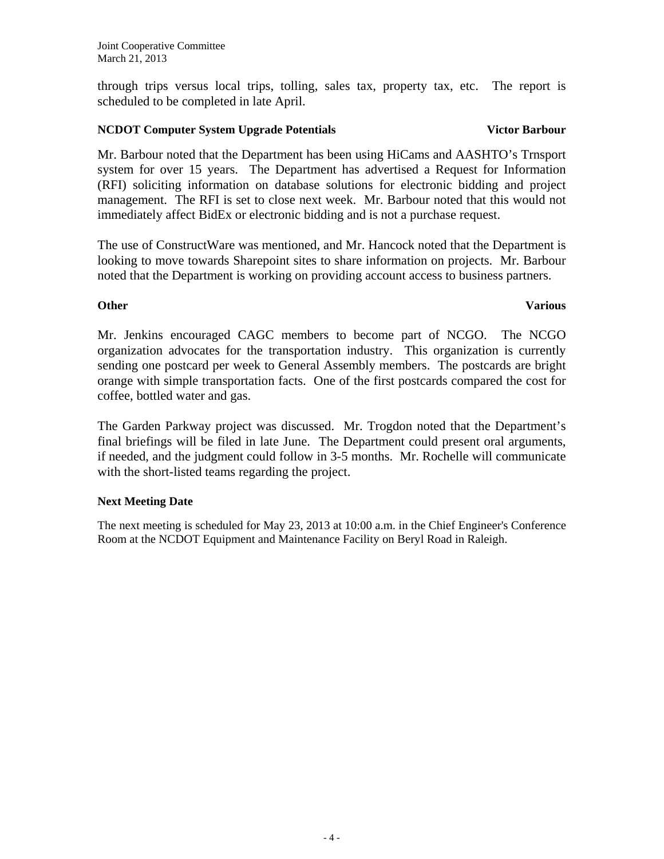through trips versus local trips, tolling, sales tax, property tax, etc. The report is scheduled to be completed in late April.

# **NCDOT Computer System Upgrade Potentials Victor Barbour Victor Barbour**

Mr. Barbour noted that the Department has been using HiCams and AASHTO's Trnsport system for over 15 years. The Department has advertised a Request for Information (RFI) soliciting information on database solutions for electronic bidding and project management. The RFI is set to close next week. Mr. Barbour noted that this would not immediately affect BidEx or electronic bidding and is not a purchase request.

The use of ConstructWare was mentioned, and Mr. Hancock noted that the Department is looking to move towards Sharepoint sites to share information on projects. Mr. Barbour noted that the Department is working on providing account access to business partners.

# **Other** Various

Mr. Jenkins encouraged CAGC members to become part of NCGO. The NCGO organization advocates for the transportation industry. This organization is currently sending one postcard per week to General Assembly members. The postcards are bright orange with simple transportation facts. One of the first postcards compared the cost for coffee, bottled water and gas.

The Garden Parkway project was discussed. Mr. Trogdon noted that the Department's final briefings will be filed in late June. The Department could present oral arguments, if needed, and the judgment could follow in 3-5 months. Mr. Rochelle will communicate with the short-listed teams regarding the project.

# **Next Meeting Date**

The next meeting is scheduled for May 23, 2013 at 10:00 a.m. in the Chief Engineer's Conference Room at the NCDOT Equipment and Maintenance Facility on Beryl Road in Raleigh.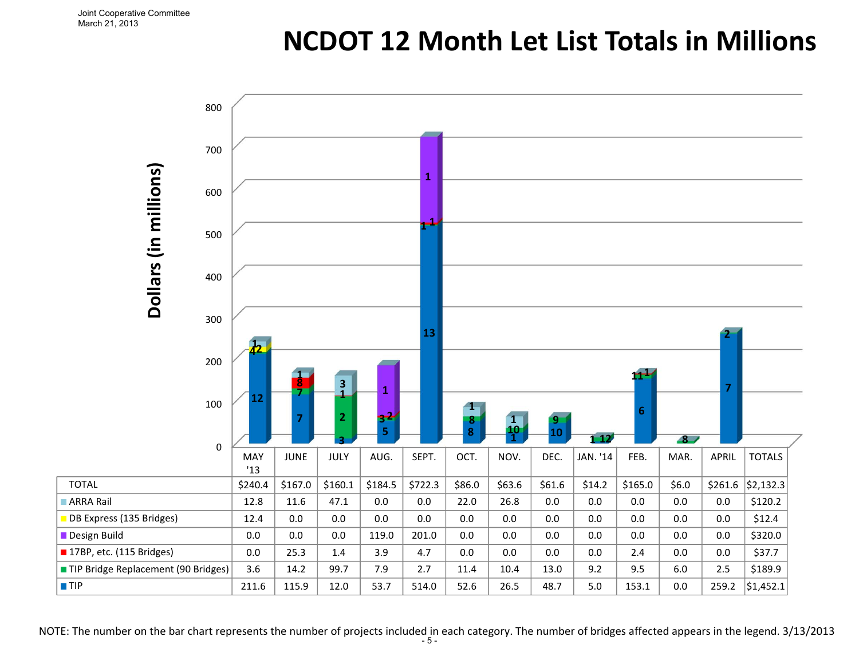# **NCDOT 12 Month Let List Totals in Millions**



NOTE: The number on the bar chart represents the number of projects included in each category. The number of bridges affected appears in the legend. 3/13/2013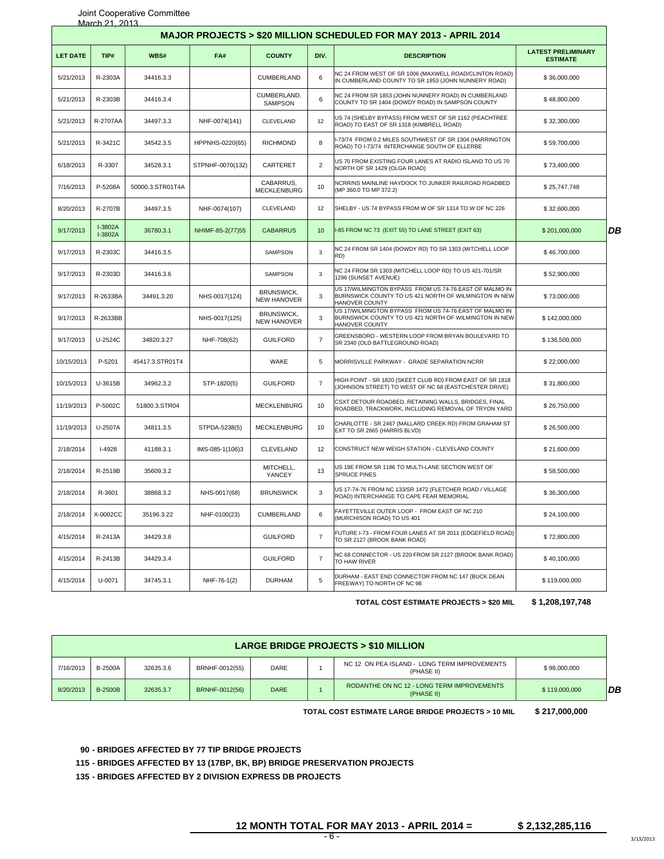| March 21, 2013<br>MAJOR PROJECTS > \$20 MILLION SCHEDULED FOR MAY 2013 - APRIL 2014 |                                                                                                                                                                                         |                  |                  |                                         |                |                                                                                                                                          |                                              |    |  |  |
|-------------------------------------------------------------------------------------|-----------------------------------------------------------------------------------------------------------------------------------------------------------------------------------------|------------------|------------------|-----------------------------------------|----------------|------------------------------------------------------------------------------------------------------------------------------------------|----------------------------------------------|----|--|--|
| <b>LET DATE</b>                                                                     | TIP#                                                                                                                                                                                    | WBS#             | FA#              | <b>COUNTY</b>                           | DIV.           | <b>DESCRIPTION</b>                                                                                                                       | <b>LATEST PRELIMINARY</b><br><b>ESTIMATE</b> |    |  |  |
| 5/21/2013                                                                           | R-2303A                                                                                                                                                                                 | 34416.3.3        |                  | <b>CUMBERLAND</b>                       | 6              | NC 24 FROM WEST OF SR 1006 (MAXWELL ROAD/CLINTON ROAD)<br>IN CUMBERLAND COUNTY TO SR 1853 (JOHN NUNNERY ROAD)                            | \$36,000,000                                 |    |  |  |
| 5/21/2013                                                                           | R-2303B                                                                                                                                                                                 | 34416.3.4        |                  | CUMBERLAND,<br><b>SAMPSON</b>           | 6              | NC 24 FROM SR 1853 (JOHN NUNNERY ROAD) IN CUMBERLAND<br>COUNTY TO SR 1404 (DOWDY ROAD) IN SAMPSON COUNTY                                 | \$48,800,000                                 |    |  |  |
| 5/21/2013                                                                           | R-2707AA                                                                                                                                                                                | 34497.3.3        | NHF-0074(141)    | CLEVELAND                               | 12             | US 74 (SHELBY BYPASS) FROM WEST OF SR 1162 (PEACHTREE<br>ROAD) TO EAST OF SR 1318 (KIMBRELL ROAD)                                        | \$32,300,000                                 |    |  |  |
| 5/21/2013                                                                           | R-3421C                                                                                                                                                                                 | 34542.3.5        | HPPNHS-0220(65)  | <b>RICHMOND</b>                         | 8              | I-73/74 FROM 0.2 MILES SOUTHWEST OF SR 1304 (HARRINGTON<br>ROAD) TO I-73/74 INTERCHANGE SOUTH OF ELLERBE                                 | \$59,700,000                                 |    |  |  |
| 6/18/2013                                                                           | R-3307                                                                                                                                                                                  | 34528.3.1        | STPNHF-0070(132) | CARTERET                                | $\overline{2}$ | US 70 FROM EXISTING FOUR LANES AT RADIO ISLAND TO US 70<br>NORTH OF SR 1429 (OLGA ROAD)                                                  | \$73,400,000                                 |    |  |  |
| 7/16/2013                                                                           | P-5208A                                                                                                                                                                                 | 50000.3.STR01T4A |                  | CABARRUS,<br><b>MECKLENBURG</b>         | 10             | NCRR/NS MAINLINE HAYDOCK TO JUNKER RAILROAD ROADBED<br>(MP 360.0 TO MP 372.2)                                                            | \$25,747,748                                 |    |  |  |
| 8/20/2013                                                                           | R-2707B                                                                                                                                                                                 | 34497.3.5        | NHF-0074(107)    | CLEVELAND                               | 12             | SHELBY - US 74 BYPASS FROM W OF SR 1314 TO W OF NC 226                                                                                   | \$32,600,000                                 |    |  |  |
| 9/17/2013                                                                           | I-3802A<br>I-3802A                                                                                                                                                                      | 36780.3.1        | NHIMF-85-2(77)55 | <b>CABARRUS</b>                         | 10             | I-85 FROM NC 73 (EXIT 55) TO LANE STREET (EXIT 63)                                                                                       | \$201,000,000                                | DB |  |  |
| 9/17/2013                                                                           | R-2303C                                                                                                                                                                                 | 34416.3.5        |                  | SAMPSON                                 | 3              | NC 24 FROM SR 1404 (DOWDY RD) TO SR 1303 (MITCHELL LOOP<br>RD)                                                                           | \$46,700,000                                 |    |  |  |
| 9/17/2013                                                                           | R-2303D                                                                                                                                                                                 | 34416.3.6        |                  | SAMPSON                                 | 3              | NC 24 FROM SR 1303 (MITCHELL LOOP RD) TO US 421-701/SR<br>1296 (SUNSET AVENUE)                                                           | \$52,900,000                                 |    |  |  |
| 9/17/2013                                                                           | R-2633BA                                                                                                                                                                                | 34491.3.20       | NHS-0017(124)    | <b>BRUNSWICK,</b><br><b>NEW HANOVER</b> | 3              | US 17/WILMINGTON BYPASS FROM US 74-76 EAST OF MALMO IN<br>BURNSWICK COUNTY TO US 421 NORTH OF WILMINGTON IN NEW<br><b>HANOVER COUNTY</b> | \$73,000,000                                 |    |  |  |
| 9/17/2013                                                                           | R-2633BB                                                                                                                                                                                |                  | NHS-0017(125)    | <b>BRUNSWICK,</b><br><b>NEW HANOVER</b> | 3              | US 17/WILMINGTON BYPASS FROM US 74-76 EAST OF MALMO IN<br>BURNSWICK COUNTY TO US 421 NORTH OF WILMINGTON IN NEW<br>HANOVER COUNTY        | \$142,000,000                                |    |  |  |
| 9/17/2013                                                                           | U-2524C                                                                                                                                                                                 | 34820.3.27       | NHF-708(62)      | <b>GUILFORD</b>                         | $\overline{7}$ | GREENSBORO - WESTERN LOOP FROM BRYAN BOULEVARD TO<br>SR 2340 (OLD BATTLEGROUND ROAD)                                                     | \$136,500,000                                |    |  |  |
| 10/15/2013                                                                          | P-5201                                                                                                                                                                                  | 45417.3.STR01T4  |                  | WAKE                                    | 5              | MORRISVILLE PARKWAY - GRADE SEPARATION NCRR                                                                                              | \$22,000,000                                 |    |  |  |
| 10/15/2013                                                                          | U-3615B                                                                                                                                                                                 | 34962.3.2        | STP-1820(5)      | <b>GUILFORD</b>                         | $\overline{7}$ | HIGH POINT - SR 1820 (SKEET CLUB RD) FROM EAST OF SR 1818<br>(JOHNSON STREET) TO WEST OF NC 68 (EASTCHESTER DRIVE)                       | \$31,800,000                                 |    |  |  |
| 11/19/2013                                                                          | P-5002C                                                                                                                                                                                 | 51800.3.STR04    |                  | <b>MECKLENBURG</b>                      | 10             | CSXT DETOUR ROADBED, RETAINING WALLS, BRIDGES, FINAL<br>ROADBED, TRACKWORK, INCLUDING REMOVAL OF TRYON YARD                              | \$26,750,000                                 |    |  |  |
| 11/19/2013                                                                          | U-2507A                                                                                                                                                                                 | 34811.3.5        | STPDA-5238(5)    | <b>MECKLENBURG</b>                      | 10             | CHARLOTTE - SR 2467 (MALLARD CREEK RD) FROM GRAHAM ST<br>EXT TO SR 2665 (HARRIS BLVD)                                                    | \$26,500,000                                 |    |  |  |
| 2/18/2014                                                                           | <b>I-4928</b>                                                                                                                                                                           | 41188.3.1        | IMS-085-1(106)3  | CLEVELAND                               | 12             | CONSTRUCT NEW WEIGH STATION - CLEVELAND COUNTY                                                                                           | \$21,600,000                                 |    |  |  |
| 2/18/2014                                                                           | R-2519B                                                                                                                                                                                 | 35609.3.2        |                  | MITCHELL,<br>YANCEY                     | 13             | US 19E FROM SR 1186 TO MULTI-LANE SECTION WEST OF<br><b>SPRUCE PINES</b>                                                                 | \$58,500,000                                 |    |  |  |
| 2/18/2014                                                                           | R-3601                                                                                                                                                                                  | 38868.3.2        | NHS-0017(68)     | <b>BRUNSWICK</b>                        | 3              | US 17-74-76 FROM NC 133/SR 1472 (FLETCHER ROAD / VILLAGE<br>ROAD) INTERCHANGE TO CAPE FEAR MEMORIAL                                      | \$36,300,000                                 |    |  |  |
| 2/18/2014                                                                           | X-0002CC                                                                                                                                                                                | 35196.3.22       | NHF-0100(23)     | CUMBERLAND                              | 6              | FAYETTEVILLE OUTER LOOP - FROM EAST OF NC 210<br>(MURCHISON ROAD) TO US 401                                                              | \$24,100,000                                 |    |  |  |
| 4/15/2014                                                                           | R-2413A                                                                                                                                                                                 | 34429.3.8        |                  | <b>GUILFORD</b>                         | $\overline{7}$ | FUTURE I-73 - FROM FOUR LANES AT SR 2011 (EDGEFIELD ROAD)<br>TO SR 2127 (BROOK BANK ROAD)                                                | \$72,800,000                                 |    |  |  |
| 4/15/2014                                                                           | R-2413B                                                                                                                                                                                 | 34429.3.4        |                  | <b>GUILFORD</b>                         | $\overline{7}$ | NC 68 CONNECTOR - US 220 FROM SR 2127 (BROOK BANK ROAD)<br>TO HAW RIVER                                                                  | \$40,100,000                                 |    |  |  |
| 4/15/2014                                                                           | U-0071                                                                                                                                                                                  | 34745.3.1        | NHF-76-1(2)      | <b>DURHAM</b>                           | 5              | DURHAM - EAST END CONNECTOR FROM NC 147 (BUCK DEAN<br>FREEWAY) TO NORTH OF NC 98                                                         | \$119,000,000                                |    |  |  |
|                                                                                     |                                                                                                                                                                                         |                  |                  |                                         |                | <b>TOTAL COST ESTIMATE PROJECTS &gt; \$20 MIL</b>                                                                                        | \$1,208,197,748                              |    |  |  |
|                                                                                     |                                                                                                                                                                                         |                  |                  |                                         |                |                                                                                                                                          |                                              |    |  |  |
|                                                                                     |                                                                                                                                                                                         |                  |                  |                                         |                | <b>LARGE BRIDGE PROJECTS &gt; \$10 MILLION</b>                                                                                           |                                              |    |  |  |
| 7/16/2013                                                                           | <b>B-2500A</b>                                                                                                                                                                          | 32635.3.6        | BRNHF-0012(55)   | DARE                                    | $\mathbf{1}$   | NC 12 ON PEA ISLAND - LONG TERM IMPROVEMENTS<br>(PHASE II)                                                                               | \$98,000,000                                 |    |  |  |
| 8/20/2013                                                                           | <b>B-2500B</b>                                                                                                                                                                          | 32635.3.7        | BRNHF-0012(56)   | <b>DARE</b>                             | $\mathbf{1}$   | RODANTHE ON NC 12 - LONG TERM IMPROVEMENTS<br>(PHASE II)                                                                                 | \$119,000,000                                | DB |  |  |
|                                                                                     |                                                                                                                                                                                         |                  |                  |                                         |                | TOTAL COST ESTIMATE LARGE BRIDGE PROJECTS > 10 MIL                                                                                       | \$217,000,000                                |    |  |  |
|                                                                                     | 90 - BRIDGES AFFECTED BY 77 TIP BRIDGE PROJECTS<br>115 - BRIDGES AFFECTED BY 13 (17BP, BK, BP) BRIDGE PRESERVATION PROJECTS<br>135 - BRIDGES AFFECTED BY 2 DIVISION EXPRESS DB PROJECTS |                  |                  |                                         |                |                                                                                                                                          |                                              |    |  |  |
|                                                                                     |                                                                                                                                                                                         |                  |                  |                                         |                | 12 MONTH TOTAL FOR MAY 2013 - APRIL 2014 =<br>- 6 -                                                                                      | \$2,132,285,116                              |    |  |  |

| <b>LARGE BRIDGE PROJECTS &gt; \$10 MILLION</b> |                |           |                |             |  |                                                            |               |  |
|------------------------------------------------|----------------|-----------|----------------|-------------|--|------------------------------------------------------------|---------------|--|
| 7/16/2013                                      | <b>B-2500A</b> | 32635.3.6 | BRNHF-0012(55) | <b>DARE</b> |  | NC 12 ON PEA ISLAND - LONG TERM IMPROVEMENTS<br>(PHASE II) | \$98,000,000  |  |
| 8/20/2013                                      | <b>B-2500B</b> | 32635.3.7 | BRNHF-0012(56) | <b>DARE</b> |  | RODANTHE ON NC 12 - LONG TERM IMPROVEMENTS<br>(PHASE II)   | \$119,000,000 |  |

<sup>3/13/2013</sup>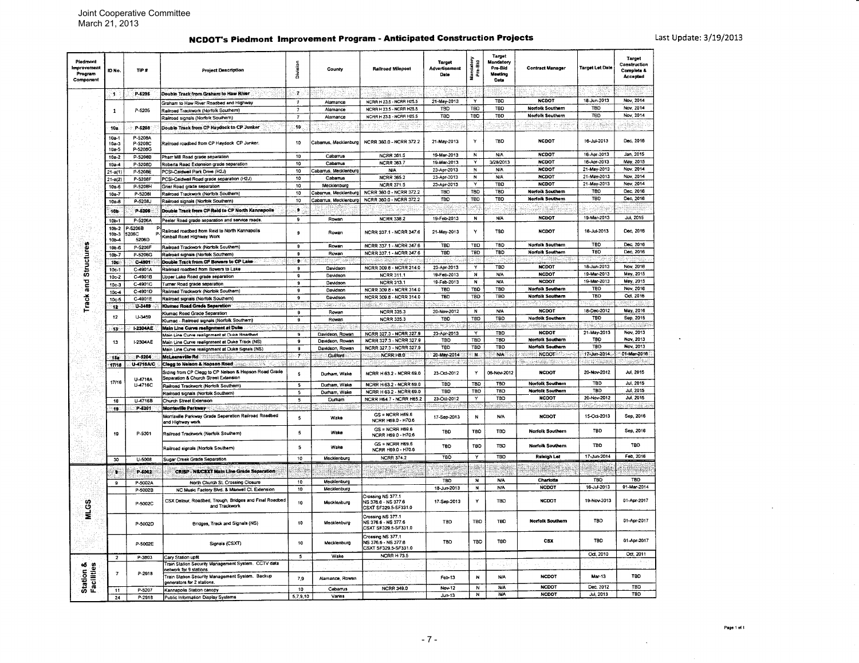# NCDOT's Piedmont Improvement Program - Anticipated Construction Projects

 $\cdot$ 

| Piedmon<br>Improvement<br>Program<br>Component | <b>ID No</b>                      | TiP#                          | <b>Project Description</b>                                                                        | Division                | County                | Railroad Milepost                                                | <b>Target</b><br>Advertisement<br>Date | Mandatory<br>Pre-Bid    | Target<br>Mandatory<br>Pre-Rid<br>Meeting<br>Date | <b>Contract Manager</b>      | <b>Target Let Date</b>     | Target<br>Construction<br><b>Complete &amp;</b><br>Accepted |
|------------------------------------------------|-----------------------------------|-------------------------------|---------------------------------------------------------------------------------------------------|-------------------------|-----------------------|------------------------------------------------------------------|----------------------------------------|-------------------------|---------------------------------------------------|------------------------------|----------------------------|-------------------------------------------------------------|
|                                                | -15                               | P-5205                        | Double Track from Graham to Haw River                                                             | æ.                      |                       |                                                                  |                                        |                         |                                                   |                              |                            |                                                             |
|                                                |                                   |                               | Graham to Haw River Roadbed and Highway                                                           | 7                       | Alamance              | NCRR H 23.5 - NCRR H25.5                                         | 21-May-2013                            | Y                       | TBO                                               | <b>NCDOT</b>                 | 18-Jun-2013                | Nov. 2014                                                   |
|                                                | $\mathbf{1}$                      | P-5205                        | Railroad Trackwork (Norfolk Southern)                                                             |                         | Alamance              | NCRR H 23.5 - NCRR H25.5                                         | TBD                                    | TBO                     | TBO                                               | <b>Norfolk Southern</b>      | <b>TBD</b>                 | Nov. 2014                                                   |
|                                                |                                   |                               | Railroad signals (Norfolk Southern)                                                               | $\overline{7}$          | Alamance              | NCRR H 23.5 - NCRR H25.5                                         | TBD                                    | TBD                     | TBD                                               | <b>Norfolk Southern</b>      | <b>TBD</b>                 | Nov. 2014                                                   |
|                                                | <b>10a</b>                        | P-5208                        | Double Track from CP Haydock to CP Junker                                                         | 10.                     |                       |                                                                  |                                        |                         |                                                   |                              | il ing                     |                                                             |
|                                                | $10a - 1$<br>$10a - 3$<br>$10a-5$ | P-5208A<br>P-520BC<br>P-5208G | Railroad roadbed from CP Haydock CP Junker.                                                       | 10                      | Cabarrus, Mecklenburg | NCRR 360.0 - NCRR 372.2                                          | 21-May-2013                            | Y                       | <b>TBD</b>                                        | <b>NCDOT</b>                 | 16-Jul-2013                | Dec, 2016                                                   |
|                                                | 10a-2                             | P-52069                       | Pharr Mill Road grade separation                                                                  | 10                      | Cabamus               | <b>NCRR 361.5</b>                                                | 19-Mar-2013                            | N                       | <b>N/A</b>                                        | <b>NCDOT</b>                 | 16-Apr-2013                | Jan. 2015                                                   |
|                                                | $10a-4$                           | P-5208D                       | Roberta Road Extension grade separation                                                           | 10                      | Cabarrus              | <b>NCRR 363.7</b>                                                | 19-Mar-2013                            | Y                       | 3/28/2013                                         | <b>NCDOT</b>                 | 16-Apr-2013                | May, 2015                                                   |
|                                                | $21 - a(1)$                       | P-5208E                       | PCSI-Caldwell Park Drive (H2J)                                                                    | 10 <sub>10</sub>        | Cabarrus, Mecklenburg | <b>N/A</b>                                                       | 23-Apr-2013                            | N                       | <b>N/A</b>                                        | <b>NCDOT</b>                 | 21-May-2013                | Nov. 2014                                                   |
|                                                | $21 - a(2)$                       | P-5208F                       | PCSI-Caldwell Road grade separation (H2J)                                                         | 10                      | Cabarrus              | <b>NCRR 365.2</b>                                                | 23-Apr-2013                            | N                       | <b>N/A</b>                                        | <b>NCDOT</b>                 | 21-May-2013                | Nov, 2014                                                   |
|                                                | $10a-6$                           | P-5208H                       | Grier Road grade separation                                                                       | 10                      | Mecklenburg           | <b>NCRR 371.5</b>                                                | 23-Apr-2013                            |                         | TBD                                               | <b>NCDOT</b>                 | 21-May-2013                | Nov. 2014                                                   |
|                                                | $10a-7$                           | P-52081                       | Railroad Trackwork (Norfolk Southern)                                                             | 10                      | Cabarrus Mecklenburg  | NCRR 360.0 - NCRR 372.2                                          | TBD                                    | <b>TBD</b>              | TBD                                               | Norfolk Southern             | TBO                        | Dec. 2016                                                   |
|                                                | $10a - 8$                         | P-5208J                       | Railroad signals (Norfolk Southern)                                                               | 10                      | Cabarrus, Mecklenburo | NCRR 360.0 - NCRR 372.2                                          | TBO                                    | TBD                     | TBD                                               | <b>Norfoik Southern</b>      | TBD                        | Dec, 2016                                                   |
|                                                |                                   |                               |                                                                                                   | s                       |                       |                                                                  |                                        |                         |                                                   |                              |                            |                                                             |
|                                                | 106                               | P-5206                        | Double Track from CP Reid to CP North Kannapoils                                                  |                         |                       |                                                                  |                                        |                         |                                                   |                              |                            |                                                             |
|                                                | $10b-1$<br>$10b-2$                | P-5206A<br>-5206B             | Peeler Road grade separation and service roads.<br>Railroad roadbed from Reid to North Kannapolis | 9<br>9                  | Rowan<br>Rowan        | <b>NCRR 338.2</b><br>NCRR 337.1 - NCRR 347.6                     | 19-Feb-2013<br>21-May-2013             | $\,$ N<br>Y             | <b>N/A</b><br>TBO                                 | <b>NCDOT</b><br><b>NCDOT</b> | 19-Mar-2013<br>16-Jul-2013 | Jul, 2015<br>Dec, 2016                                      |
|                                                | 10b-3<br>$10b-4$                  | 5206C<br>5206D                | Kimball Road Highway Work                                                                         |                         |                       |                                                                  |                                        |                         |                                                   |                              | TRD                        | Dec, 2016                                                   |
| <b>Structures</b>                              | $10b-6$                           | P-5206F                       | Railroad Trackwork (Norfolk Southern)                                                             | 9                       | Rowan                 | NCRR 337.1 - NCRR 347.6                                          | TBD                                    | TBD                     | TBD                                               | Norfolk Southern             |                            |                                                             |
|                                                | $10b-7$                           | P-5206G                       | Railroad signals (Norfolk Southern)                                                               | $\mathbf{a}$            | Rowan                 | NCRR 337.1 - NCRR 347.6                                          | <b>TBD</b>                             | TBD                     | TBD                                               | <b>Norfolk Southern</b>      | <b>TBD</b>                 | Dec, 2016                                                   |
|                                                | 10 <sub>o</sub>                   | C-4301                        | Double Track from CP Bowers to CP Lake                                                            | le.                     |                       | dato in Mari                                                     |                                        |                         |                                                   | 树肌                           |                            |                                                             |
|                                                | $10c-1$                           | C-4901A                       | Railroad roadbed from Bowers to Lake                                                              | $\mathbf{a}$            | Davidson              | NCRR 309.8 - NCRR 314.0                                          | 23-Apr-2013                            | Y                       | TBD                                               | <b>NCDOT</b>                 | 18-Jun-2013                | Nov, 2016                                                   |
|                                                | $10c-2$                           | C-4901B                       | Ipper Lake Road grade separation                                                                  | $\mathbf{S}$            | Davidson              | <b>NCRR 311.1</b>                                                | 19-Feb-2013                            | N                       | <b>N/A</b>                                        | <b>NCDOT</b>                 | 19-Mar-2013                | May, 2015                                                   |
| rack and                                       | $10c-3$                           | C-4901C                       | umer Road grade separation                                                                        | $\mathbf{9}$            | Davidson              | <b>NCRR 313.1</b>                                                | 19-Feb-2013                            | N                       | <b>N/A</b>                                        | <b>NCDOT</b>                 | 19-Mar-2013                | May, 2015                                                   |
|                                                | $10c-4$                           | C-4901D                       | Railroad Trackwork (Norfolk Southern)                                                             | $\mathbf{q}$            | Davidson              | NCRR 309.8 - NCRR 314.0                                          | TBD                                    | TBD                     | TBD                                               | Norfolk Southern             | TBD                        | Nov. 2016                                                   |
|                                                | $10c-5$                           | C-4901E                       | Railroad signals (Norfolk Southern)                                                               | $\mathbf{9}$            | Davidson              | NCRR 309.8 - NCRR 314.0                                          | TBD                                    | TBD                     | TBO                                               | Norfolk Southern             | <b>TBD</b>                 | Oct. 2016                                                   |
|                                                | 12                                | U-3463                        | Klumac Road Grade Separation                                                                      |                         |                       |                                                                  |                                        |                         |                                                   |                              |                            |                                                             |
|                                                |                                   |                               | llumac Road Grade Separation                                                                      | $\mathbf{g}$            | Rowan                 | <b>NCRR 335.3</b>                                                | 20-Nov-2012                            | N                       | <b>N/A</b>                                        | <b>NCDOT</b>                 | 18-Dec-2012                | May, 2016                                                   |
|                                                | 12                                | U-3459                        | Klumac - Railroad signals (Norfolk Southern)                                                      | $\mathbf{g}$            | Rowan                 | <b>NCRR 335.3</b>                                                | TBD                                    | TBD                     | T8D                                               | <b>Norfolk Southern</b>      | TBD                        | Sep, 2015                                                   |
|                                                | -131                              | <b>I-2304AE</b>               | Main Line Curve realignment at Dute                                                               |                         |                       |                                                                  |                                        |                         | 2. W                                              | . Se exiligilias canada      |                            | <b>CONSTRUCTION</b>                                         |
|                                                |                                   |                               | lain Line Curve realignment at Duke Roadbed                                                       | $\mathbf{9}$            | Davidson, Rowan       | NCRR 327.3 - NCRR 327.9                                          | 23-Apr-2013                            | Y                       | TBD                                               | <b>NCDOT</b>                 | 21-May-2013                | Nov. 2013                                                   |
|                                                | 13                                | -2304AE                       | Main Line Curve realignment at Duke Track (NS)                                                    | $\overline{9}$          | Davidson, Rowan       | NCRR 327.3 - NCRR 327.9                                          | TBD                                    | <b>TBD</b>              | TBD                                               | Norfolk Southern             | TBO                        | Nov. 2013                                                   |
|                                                |                                   |                               | Main Line Curve realignment at Duke Signals (NS)                                                  | $\overline{9}$          | Davidson, Rowan       | NCRR 327.3 - NCRR 327.9                                          | TBD                                    | TBD                     | TBD                                               | <b>Norfolk Southern</b>      | <b>TBD</b>                 | Nov, 2013                                                   |
|                                                | 159                               | P-5204                        | McLeansville Rd                                                                                   | -7                      | Guilfard              | NCRR H8.0                                                        | 20-May-2014                            | N.                      | N/A                                               | <b>NORTH NODOT</b>           | 17-Jun-2014                | 01-Mar-2016                                                 |
|                                                | 17/18                             | U-4716A/C                     | Clegg to Nelson & Hopson Road                                                                     |                         |                       | reve                                                             | 公寓                                     |                         | 受罪案                                               | ta sena da k                 | <b>CAN Samuel</b>          |                                                             |
|                                                |                                   | U-4716A                       | Siding from CP Clegg to CP Nelson & Hopson Road Grade<br>Separation & Church Street Extension     | $\sim$                  | Durham, Wake          | NCRR H 63.2 - NCRR 69.0                                          | 23-Oct-2012                            | Y                       | 06-Nov-2012                                       | <b>NCDOT</b>                 | 20-Nov-2012                | Jul. 2015                                                   |
|                                                | 17/16                             | U-4716C                       | Railroad Trackwork (Norfolk Southern)                                                             | $\overline{\mathbf{5}}$ | Durham, Wake          | NCRR H 63.2 - NCRR 69.0                                          | TBD                                    | <b>TBD</b>              | <b>TBD</b>                                        | Norfolk Southern             | TBD                        | Jul. 2015                                                   |
|                                                |                                   |                               | Railroad signals (Norfolk Southern)                                                               | $\overline{5}$          | Durham, Wake          | NCRR H 63.2 - NCRR 69.0                                          | <b>TBD</b>                             | TBD                     | TBD                                               | <b>Norfolk Southern</b>      | TBD                        | Jul, 2015                                                   |
|                                                | 18                                | U-4716B                       | Church Street Extension                                                                           | $\overline{5}$          | Durham                | NCRR H64.7 - NCRR H65.2                                          | 23-Oct-2012                            | $\mathbf{Y}$            | TBD                                               | <b>NCDOT</b>                 | 20-Nov-2012                | Jul. 2015                                                   |
|                                                |                                   | P-5201                        | <b>Morrisville Parkway</b>                                                                        |                         |                       |                                                                  | ina yang                               |                         | 56.                                               |                              |                            | ador esta                                                   |
|                                                | 19                                |                               | Morrisville Parkway Grade Separation Railroad Roadbed<br>and Highway work                         | $\mathbf{s}$            | Wake                  | $GS = NCRR H69.6$<br>NCRR H69.0 - H70.6                          | 17-Sep-2013                            | N                       | <b>N/A</b>                                        | <b>NCDOT</b>                 | 15-Oct-2013                | Sep, 2018                                                   |
|                                                | 19                                | P-5201                        | Railroad Trackwork (Norfolk Southern)                                                             | 5                       | Wake                  | GS = NCRR H69.6<br>NCRR H69.0 - H70.6                            | <b>TBO</b>                             | TBO                     | TBD                                               | <b>Norfolk Southern</b>      | <b>TBD</b>                 | Sep, 2016                                                   |
|                                                |                                   |                               | Railroad signals (Norfolk Southern)                                                               | 5                       | Wake                  | $GS = NCRR$ H69.6<br>NCRR H69.0 - H70.6                          | TBD                                    | TBD                     | <b>TBD</b>                                        | Norfolk Southern             | <b>TBD</b>                 | TBD                                                         |
|                                                | 30 <sub>1</sub>                   | 11-5008                       | Sugar Creek Grade Separation                                                                      | 10                      | Mecklonburg           | <b>NCRR 374.2</b>                                                | TBD                                    | $\overline{\mathbf{y}}$ | TBD                                               | Raleigh Lat                  | 17-Jun-2014                | Feb, 2016                                                   |
|                                                | ۰.                                | P-6002                        | <b>CRISP - NS/CSXT Main Line Grade Separation</b>                                                 | ski p                   |                       | - 195                                                            | s Sirk                                 |                         |                                                   | 189                          |                            | 40ap<br><b>TBD</b>                                          |
|                                                | 9                                 | P-5002A                       | North Church St. Crossing Closure                                                                 | 10                      | Mecklenburg           |                                                                  | TBC                                    | N<br>$\overline{N}$     | <b>N/A</b><br>N/A                                 | Charlotte<br><b>NCDOT</b>    | TBO<br>16-Jul-2013         | 01-Mar-2014                                                 |
|                                                |                                   | P-5002B                       | NC Music Factory Blvd. & Maxwell Ct. Extension                                                    | 10                      | Mecklenburg           |                                                                  | 18-Jun-2013                            |                         |                                                   |                              |                            |                                                             |
| MLGS                                           |                                   | P-5002C                       | CSX Detour, Roadbed, Trough, Bridges and Final Roadbed<br>and Trackwork                           | $10\,$                  | Mecklenburg           | Crossing NS 377.1<br>NS 376.6 - NS 377.6<br>CSXT SF329.5-SF331.0 | 17-Sep-2013                            | Y                       | TBD                                               | <b>NCDOT</b>                 | 19-Nov-2013                | 01-Apr-2017                                                 |
|                                                |                                   | P-5002D                       | Bridges, Track and Signals (NS)                                                                   | 10                      | Mecklenburg           | Crossing NS 377.1<br>NS 376.6 - NS 377.6<br>CSXT SF329.5-SF331.0 | TBD                                    | <b>TBO</b>              | TBO                                               | <b>Norfolk Southern</b>      | TBD                        | 01-Apr-2017                                                 |
|                                                |                                   | P-5002E                       | Signals (CSXT)                                                                                    | 10                      | Mecklenburg           | Crossing NS 377.1<br>NS 376.6 - NS 377.6<br>CSXT SF329.5-SF331.0 | TBD                                    | <b>TBD</b>              | TBD                                               | CSX                          | TBO                        | 01-Apr-2017                                                 |
|                                                | $\overline{\mathbf{2}}$           | P-3803                        | Cary Station upfit                                                                                | 5                       | Wake                  | <b>NCRR H 73.5</b>                                               |                                        |                         |                                                   |                              | Oct, 2010                  | Oct. 2011                                                   |
| 95                                             |                                   |                               | Train Station Security Management System. CCTV data<br>tetwork for 9 stations                     |                         |                       |                                                                  |                                        |                         |                                                   |                              |                            |                                                             |
| Facilities<br>tation                           | $\overline{7}$                    | P-2918                        | Train Station Security Management System. Backup<br>generators for 2 stations.                    | 7.9                     | Alamance, Rowan       |                                                                  | Feb-13                                 | N                       | <b>N/A</b>                                        | NCDOT                        | Mar-13                     | TBO                                                         |
| ö5                                             | 11                                | P-5207                        | Kannapolis Station canopy                                                                         | 10                      | Cabarrus              | <b>NCRR 349.0</b>                                                | Nov-12                                 | $\overline{\mathbf{N}}$ | <b>NJA</b>                                        | <b>NCDOT</b>                 | Dec, 2012                  | <b>TBD</b>                                                  |
|                                                | 24                                | P-2916                        | Public Information Display Systems                                                                | 5,7,9,10                | Varies                |                                                                  | $Jun-13$                               | $\overline{N}$          | <b>N/A</b>                                        | <b>NCDOT</b>                 | Jul, 2013                  | TBD                                                         |

 $\sim$